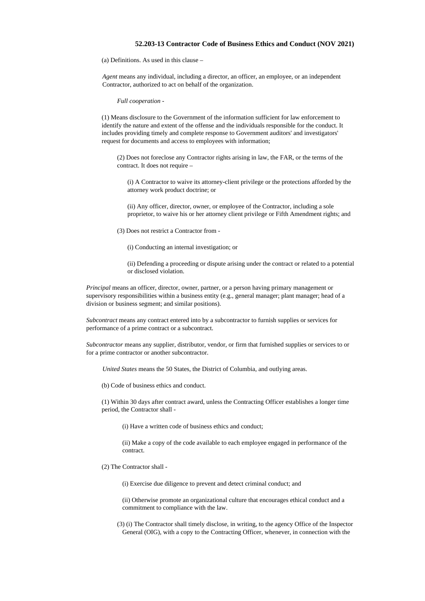## **52.203-13 Contractor Code of Business Ethics and Conduct (NOV 2021)**

(a) Definitions. As used in this clause –

*Agent* means any individual, including a director, an officer, an employee, or an independent Contractor, authorized to act on behalf of the organization.

*Full cooperation* -

(1) Means disclosure to the Government of the information sufficient for law enforcement to identify the nature and extent of the offense and the individuals responsible for the conduct. It includes providing timely and complete response to Government auditors' and investigators' request for documents and access to employees with information;

(2) Does not foreclose any Contractor rights arising in law, the FAR, or the terms of the contract. It does not require –

(i) A Contractor to waive its attorney-client privilege or the protections afforded by the attorney work product doctrine; or

(ii) Any officer, director, owner, or employee of the Contractor, including a sole proprietor, to waive his or her attorney client privilege or Fifth Amendment rights; and

(3) Does not restrict a Contractor from -

(i) Conducting an internal investigation; or

(ii) Defending a proceeding or dispute arising under the contract or related to a potential or disclosed violation.

*Principal* means an officer, director, owner, partner, or a person having primary management or supervisory responsibilities within a business entity (e.g., general manager; plant manager; head of a division or business segment; and similar positions).

*Subcontract* means any contract entered into by a subcontractor to furnish supplies or services for performance of a prime contract or a subcontract.

*Subcontractor* means any supplier, distributor, vendor, or firm that furnished supplies or services to or for a prime contractor or another subcontractor.

*United States* means the 50 States, the District of Columbia, and outlying areas.

(b) Code of business ethics and conduct.

(1) Within 30 days after contract award, unless the Contracting Officer establishes a longer time period, the Contractor shall -

(i) Have a written code of business ethics and conduct;

(ii) Make a copy of the code available to each employee engaged in performance of the contract.

(2) The Contractor shall -

(i) Exercise due diligence to prevent and detect criminal conduct; and

(ii) Otherwise promote an organizational culture that encourages ethical conduct and a commitment to compliance with the law.

(3) (i) The Contractor shall timely disclose, in writing, to the agency Office of the Inspector General (OIG), with a copy to the Contracting Officer, whenever, in connection with the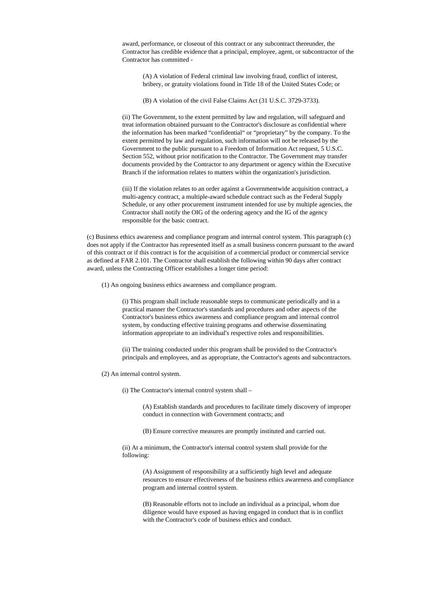award, performance, or closeout of this contract or any subcontract thereunder, the Contractor has credible evidence that a principal, employee, agent, or subcontractor of the Contractor has committed -

(A) A violation of Federal criminal law involving fraud, conflict of interest, bribery, or gratuity violations found in Title 18 of the United States Code; or

(B) A violation of the civil False Claims Act (31 U.S.C. 3729-3733).

(ii) The Government, to the extent permitted by law and regulation, will safeguard and treat information obtained pursuant to the Contractor's disclosure as confidential where the information has been marked "confidential" or "proprietary" by the company. To the extent permitted by law and regulation, such information will not be released by the Government to the public pursuant to a Freedom of Information Act request, 5 U.S.C. Section 552, without prior notification to the Contractor. The Government may transfer documents provided by the Contractor to any department or agency within the Executive Branch if the information relates to matters within the organization's jurisdiction.

(iii) If the violation relates to an order against a Governmentwide acquisition contract, a multi-agency contract, a multiple-award schedule contract such as the Federal Supply Schedule, or any other procurement instrument intended for use by multiple agencies, the Contractor shall notify the OIG of the ordering agency and the IG of the agency responsible for the basic contract.

(c) Business ethics awareness and compliance program and internal control system. This paragraph (c) does not apply if the Contractor has represented itself as a small business concern pursuant to the award of this contract or if this contract is for the acquisition of a commercial product or commercial service as defined at FAR 2.101. The Contractor shall establish the following within 90 days after contract award, unless the Contracting Officer establishes a longer time period:

(1) An ongoing business ethics awareness and compliance program.

(i) This program shall include reasonable steps to communicate periodically and in a practical manner the Contractor's standards and procedures and other aspects of the Contractor's business ethics awareness and compliance program and internal control system, by conducting effective training programs and otherwise disseminating information appropriate to an individual's respective roles and responsibilities.

(ii) The training conducted under this program shall be provided to the Contractor's principals and employees, and as appropriate, the Contractor's agents and subcontractors.

(2) An internal control system.

(i) The Contractor's internal control system shall –

(A) Establish standards and procedures to facilitate timely discovery of improper conduct in connection with Government contracts; and

(B) Ensure corrective measures are promptly instituted and carried out.

(ii) At a minimum, the Contractor's internal control system shall provide for the following:

(A) Assignment of responsibility at a sufficiently high level and adequate resources to ensure effectiveness of the business ethics awareness and compliance program and internal control system.

(B) Reasonable efforts not to include an individual as a principal, whom due diligence would have exposed as having engaged in conduct that is in conflict with the Contractor's code of business ethics and conduct.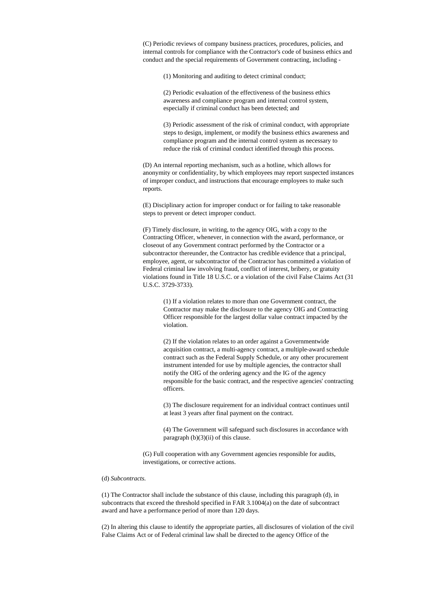(C) Periodic reviews of company business practices, procedures, policies, and internal controls for compliance with the Contractor's code of business ethics and conduct and the special requirements of Government contracting, including -

(1) Monitoring and auditing to detect criminal conduct;

(2) Periodic evaluation of the effectiveness of the business ethics awareness and compliance program and internal control system, especially if criminal conduct has been detected; and

(3) Periodic assessment of the risk of criminal conduct, with appropriate steps to design, implement, or modify the business ethics awareness and compliance program and the internal control system as necessary to reduce the risk of criminal conduct identified through this process.

(D) An internal reporting mechanism, such as a hotline, which allows for anonymity or confidentiality, by which employees may report suspected instances of improper conduct, and instructions that encourage employees to make such reports.

(E) Disciplinary action for improper conduct or for failing to take reasonable steps to prevent or detect improper conduct.

(F) Timely disclosure, in writing, to the agency OIG, with a copy to the Contracting Officer, whenever, in connection with the award, performance, or closeout of any Government contract performed by the Contractor or a subcontractor thereunder, the Contractor has credible evidence that a principal, employee, agent, or subcontractor of the Contractor has committed a violation of Federal criminal law involving fraud, conflict of interest, bribery, or gratuity violations found in Title 18 U.S.C. or a violation of the civil False Claims Act (31 U.S.C. 3729-3733).

(1) If a violation relates to more than one Government contract, the Contractor may make the disclosure to the agency OIG and Contracting Officer responsible for the largest dollar value contract impacted by the violation.

(2) If the violation relates to an order against a Governmentwide acquisition contract, a multi-agency contract, a multiple-award schedule contract such as the Federal Supply Schedule, or any other procurement instrument intended for use by multiple agencies, the contractor shall notify the OIG of the ordering agency and the IG of the agency responsible for the basic contract, and the respective agencies' contracting officers.

(3) The disclosure requirement for an individual contract continues until at least 3 years after final payment on the contract.

(4) The Government will safeguard such disclosures in accordance with paragraph  $(b)(3)(ii)$  of this clause.

(G) Full cooperation with any Government agencies responsible for audits, investigations, or corrective actions.

## (d) *Subcontracts.*

(1) The Contractor shall include the substance of this clause, including this paragraph (d), in subcontracts that exceed the threshold specified in FAR 3.1004(a) on the date of subcontract award and have a performance period of more than 120 days.

(2) In altering this clause to identify the appropriate parties, all disclosures of violation of the civil False Claims Act or of Federal criminal law shall be directed to the agency Office of the